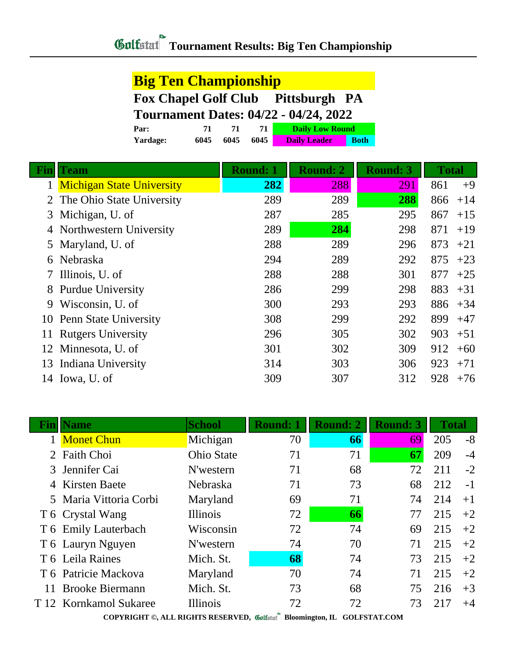## **Big Ten Championship**

**Fox Chapel Golf Club Pittsburgh PA**

**Tournament Dates: 04/22 - 04/24, 2022**

| Par:     | 71   |      |      | <b>Daily Low Round</b> |             |
|----------|------|------|------|------------------------|-------------|
| Yardage: | 6045 | 6045 | 6045 | <b>Daily Leader</b>    | <b>Both</b> |

| <u>Fin</u> | <b>Team</b>                      | <b>Round: 1</b> | <b>Round: 2</b> | <b>Round: 3</b> | <b>Total</b> |       |
|------------|----------------------------------|-----------------|-----------------|-----------------|--------------|-------|
|            | <b>Michigan State University</b> | 282             | 288             | 291             | 861          | $+9$  |
|            | The Ohio State University        | 289             | 289             | 288             | 866          | $+14$ |
| 3          | Michigan, U. of                  | 287             | 285             | 295             | 867          | $+15$ |
|            | 4 Northwestern University        | 289             | 284             | 298             | 871          | $+19$ |
|            | 5 Maryland, U. of                | 288             | 289             | 296             | 873          | $+21$ |
| 6          | Nebraska                         | 294             | 289             | 292             | 875          | $+23$ |
|            | Illinois, U. of                  | 288             | 288             | 301             | 877          | $+25$ |
| 8          | <b>Purdue University</b>         | 286             | 299             | 298             | 883          | $+31$ |
| 9          | Wisconsin, U. of                 | 300             | 293             | 293             | $886 + 34$   |       |
|            | 10 Penn State University         | 308             | 299             | 292             | 899          | $+47$ |
| 11         | <b>Rutgers University</b>        | 296             | 305             | 302             | 903          | $+51$ |
| 12         | Minnesota, U. of                 | 301             | 302             | 309             | 912          | $+60$ |
| 13         | Indiana University               | 314             | 303             | 306             | 923          | $+71$ |
| 14         | Iowa, U. of                      | 309             | 307             | 312             | 928          | $+76$ |

|    | <b>Name</b>            | <b>School</b>     | <b>Round: 1</b> | <b>Round: 2</b> | <b>Round: 3</b> | <b>Total</b> |      |
|----|------------------------|-------------------|-----------------|-----------------|-----------------|--------------|------|
|    | <b>Monet Chun</b>      | Michigan          | 70              | 66              | 69              | 205          | $-8$ |
|    | 2 Faith Choi           | <b>Ohio State</b> | 71              | 71              | 67              | 209          | $-4$ |
|    | 3 Jennifer Cai         | N'western         | 71              | 68              | 72              | 211          | $-2$ |
|    | 4 Kirsten Baete        | <b>Nebraska</b>   | 71              | 73              | 68              | 212          | $-1$ |
|    | 5 Maria Vittoria Corbi | Maryland          | 69              | 71              | 74              | 214          | $+1$ |
|    | T 6 Crystal Wang       | <b>Illinois</b>   | 72              | 66              | 77              | 215          | $+2$ |
|    | T 6 Emily Lauterbach   | Wisconsin         | 72              | 74              | 69              | 215          | $+2$ |
|    | T 6 Lauryn Nguyen      | N'western         | 74              | 70              | 71              | 215          | $+2$ |
|    | T 6 Leila Raines       | Mich. St.         | 68              | 74              | 73              | 215          | $+2$ |
|    | T 6 Patricie Mackova   | Maryland          | 70              | 74              | 71              | 215          | $+2$ |
| 11 | <b>Brooke Biermann</b> | Mich. St.         | 73              | 68              | 75              | 216          | $+3$ |
|    | T 12 Kornkamol Sukaree | <b>Illinois</b>   | 72              | 72              | 73              | 217          | $+4$ |

**COPYRIGHT ©, ALL RIGHTS RESERVED, Bloomington, IL GOLFSTAT.COM**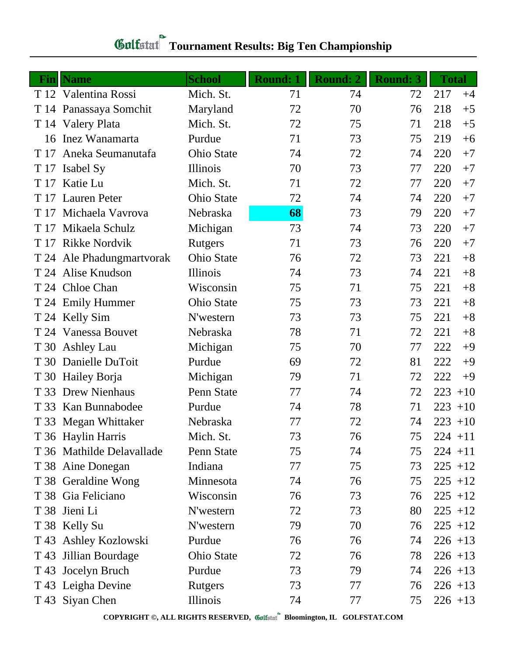| Fin  | <b>Name</b>               | <b>School</b>     | <b>Round: 1</b> | <b>Round: 2</b> | <b>Round: 3</b> | <b>Total</b> |
|------|---------------------------|-------------------|-----------------|-----------------|-----------------|--------------|
|      | T 12 Valentina Rossi      | Mich. St.         | 71              | 74              | 72              | 217<br>$+4$  |
|      | T 14 Panassaya Somchit    | Maryland          | 72              | 70              | 76              | 218<br>$+5$  |
|      | T 14 Valery Plata         | Mich. St.         | 72              | 75              | 71              | 218<br>$+5$  |
| 16   | Inez Wanamarta            | Purdue            | 71              | 73              | 75              | 219<br>$+6$  |
| T 17 | Aneka Seumanutafa         | <b>Ohio State</b> | 74              | 72              | 74              | 220<br>$+7$  |
| T 17 | Isabel Sy                 | Illinois          | 70              | 73              | 77              | 220<br>$+7$  |
| T 17 | Katie Lu                  | Mich. St.         | 71              | 72              | 77              | 220<br>$+7$  |
| T 17 | <b>Lauren</b> Peter       | <b>Ohio State</b> | 72              | 74              | 74              | 220<br>$+7$  |
|      | T 17 Michaela Vavrova     | Nebraska          | 68              | 73              | 79              | 220<br>$+7$  |
| T 17 | Mikaela Schulz            | Michigan          | 73              | 74              | 73              | 220<br>$+7$  |
| T 17 | Rikke Nordvik             | Rutgers           | 71              | 73              | 76              | 220<br>$+7$  |
|      | T 24 Ale Phadungmartvorak | <b>Ohio State</b> | 76              | 72              | 73              | $+8$<br>221  |
| T 24 | Alise Knudson             | Illinois          | 74              | 73              | 74              | $+8$<br>221  |
|      | T 24 Chloe Chan           | Wisconsin         | 75              | 71              | 75              | $+8$<br>221  |
|      | T 24 Emily Hummer         | <b>Ohio State</b> | 75              | 73              | 73              | $+8$<br>221  |
|      | T 24 Kelly Sim            | N'western         | 73              | 73              | 75              | 221<br>$+8$  |
|      | T 24 Vanessa Bouvet       | Nebraska          | 78              | 71              | 72              | $+8$<br>221  |
|      | T 30 Ashley Lau           | Michigan          | 75              | 70              | 77              | 222<br>$+9$  |
|      | T 30 Danielle DuToit      | Purdue            | 69              | 72              | 81              | 222<br>$+9$  |
|      | T 30 Hailey Borja         | Michigan          | 79              | 71              | 72              | 222<br>$+9$  |
| T 33 | <b>Drew Nienhaus</b>      | Penn State        | 77              | 74              | 72              | 223<br>$+10$ |
|      | T 33 Kan Bunnabodee       | Purdue            | 74              | 78              | 71              | 223<br>$+10$ |
|      | T 33 Megan Whittaker      | Nebraska          | 77              | 72              | 74              | $223 + 10$   |
|      | T 36 Haylin Harris        | Mich. St.         | 73              | 76              | 75              | $224 + 11$   |
|      | T 36 Mathilde Delavallade | Penn State        | 75              | 74              | 75              | $224 + 11$   |
|      | T 38 Aine Donegan         | Indiana           | 77              | 75              | 73              | $225 + 12$   |
|      | T 38 Geraldine Wong       | Minnesota         | 74              | 76              | 75              | $225 + 12$   |
|      | T 38 Gia Feliciano        | Wisconsin         | 76              | 73              | 76              | $225 + 12$   |
|      | T 38 Jieni Li             | N'western         | 72              | 73              | 80              | $225 + 12$   |
|      | T 38 Kelly Su             | N'western         | 79              | 70              | 76              | $225 + 12$   |
|      | T 43 Ashley Kozlowski     | Purdue            | 76              | 76              | 74              | $226 + 13$   |
|      | T 43 Jillian Bourdage     | <b>Ohio State</b> | 72              | 76              | 78              | $226 + 13$   |
|      | T 43 Jocelyn Bruch        | Purdue            | 73              | 79              | 74              | $226 + 13$   |
|      | T 43 Leigha Devine        | Rutgers           | 73              | 77              | 76              | $226 + 13$   |
|      | T 43 Siyan Chen           | Illinois          | 74              | 77              | 75              | $226 + 13$   |

## Gulfstat Tournament Results: Big Ten Championship

 ${\bf \textbf{COPYRIGHT}\otimes,\textbf{ALL RIGHTS} RESERVED,\textbf{ "Gulfatat} }\textbf{ Bloomington, IL}\textbf{ GOLFSTAT. COM}$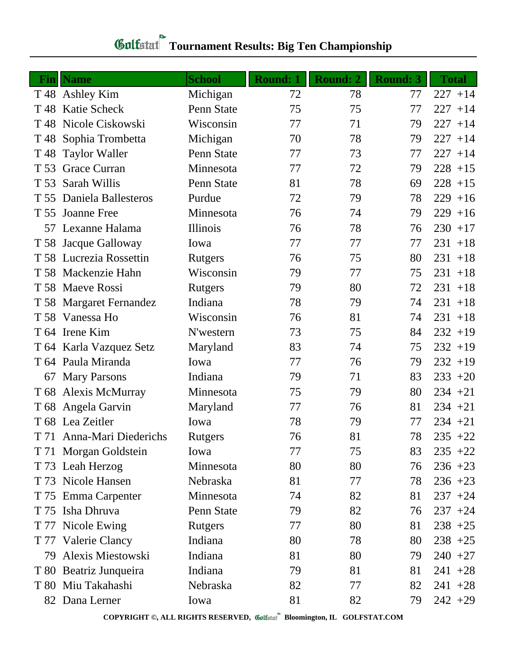|  |  | <b>Gulfstat</b> Tournament Results: Big Ten Championship |
|--|--|----------------------------------------------------------|
|  |  |                                                          |

| Fin  | <b>Name</b>               | <b>School</b>  | <b>Round: 1</b> | <b>Round: 2</b> | <b>Round: 3</b> | <b>Total</b> |
|------|---------------------------|----------------|-----------------|-----------------|-----------------|--------------|
|      | T 48 Ashley Kim           | Michigan       | 72              | 78              | 77              | $227 + 14$   |
|      | T 48 Katie Scheck         | Penn State     | 75              | 75              | 77              | $227 + 14$   |
|      | T 48 Nicole Ciskowski     | Wisconsin      | 77              | 71              | 79              | $227 + 14$   |
|      | T 48 Sophia Trombetta     | Michigan       | 70              | 78              | 79              | $227 + 14$   |
|      | T 48 Taylor Waller        | Penn State     | 77              | 73              | 77              | $227 + 14$   |
| T 53 | <b>Grace Curran</b>       | Minnesota      | 77              | 72              | 79              | $228 + 15$   |
|      | T 53 Sarah Willis         | Penn State     | 81              | 78              | 69              | $228 + 15$   |
| T 55 | Daniela Ballesteros       | Purdue         | 72              | 79              | 78              | $229 + 16$   |
|      | T 55 Joanne Free          | Minnesota      | 76              | 74              | 79              | $229 + 16$   |
|      | 57 Lexanne Halama         | Illinois       | 76              | 78              | 76              | $230 + 17$   |
|      | T 58 Jacque Galloway      | Iowa           | 77              | 77              | 77              | $231 + 18$   |
|      | T 58 Lucrezia Rossettin   | <b>Rutgers</b> | 76              | 75              | 80              | $231 + 18$   |
|      | T 58 Mackenzie Hahn       | Wisconsin      | 79              | 77              | 75              | $231 + 18$   |
|      | T 58 Maeve Rossi          | Rutgers        | 79              | 80              | 72              | $231 + 18$   |
|      | T 58 Margaret Fernandez   | Indiana        | 78              | 79              | 74              | $231 + 18$   |
|      | T 58 Vanessa Ho           | Wisconsin      | 76              | 81              | 74              | $231 + 18$   |
|      | T 64 Irene Kim            | N'western      | 73              | 75              | 84              | $232 + 19$   |
|      | T 64 Karla Vazquez Setz   | Maryland       | 83              | 74              | 75              | $232 + 19$   |
|      | T 64 Paula Miranda        | Iowa           | 77              | 76              | 79              | $232 + 19$   |
|      | 67 Mary Parsons           | Indiana        | 79              | 71              | 83              | $233 + 20$   |
|      | T 68 Alexis McMurray      | Minnesota      | 75              | 79              | 80              | $234 + 21$   |
|      | T 68 Angela Garvin        | Maryland       | 77              | 76              | 81              | $234 + 21$   |
|      | T 68 Lea Zeitler          | Iowa           | 78              | 79              | 77              | $234 + 21$   |
|      | T 71 Anna-Mari Diederichs | Rutgers        | 76              | 81              | 78              | $235 +22$    |
|      | T 71 Morgan Goldstein     | Iowa           | 77              | 75              | 83              | $235 +22$    |
|      | T 73 Leah Herzog          | Minnesota      | 80              | 80              | 76              | $236 + 23$   |
|      | T 73 Nicole Hansen        | Nebraska       | 81              | 77              | 78              | $236 + 23$   |
|      | T 75 Emma Carpenter       | Minnesota      | 74              | 82              | 81              | $237 + 24$   |
|      | T 75 Isha Dhruva          | Penn State     | 79              | 82              | 76              | $237 + 24$   |
|      | T 77 Nicole Ewing         | Rutgers        | 77              | 80              | 81              | $238 + 25$   |
|      | T 77 Valerie Clancy       | Indiana        | 80              | 78              | 80              | $238 + 25$   |
| 79   | Alexis Miestowski         | Indiana        | 81              | 80              | 79              | $240 +27$    |
|      | T 80 Beatriz Junqueira    | Indiana        | 79              | 81              | 81              | $241 + 28$   |
|      | T 80 Miu Takahashi        | Nebraska       | 82              | 77              | 82              | $241 + 28$   |
|      | 82 Dana Lerner            | Iowa           | 81              | 82              | 79              | $242 + 29$   |

**COPYRIGHT ©, ALL RIGHTS RESERVED, Bloomington, IL GOLFSTAT.COM**